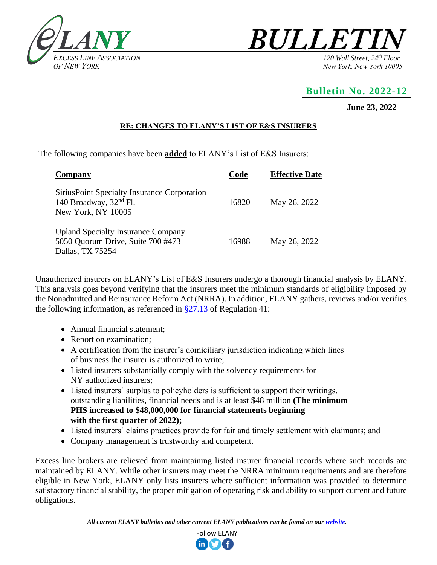



## **Bulletin No. 2022-12**

## **June 23, 2022**

## **RE: CHANGES TO ELANY'S LIST OF E&S INSURERS**

The following companies have been **added** to ELANY's List of E&S Insurers:

| Company                                                                                            | Code  | <b>Effective Date</b> |
|----------------------------------------------------------------------------------------------------|-------|-----------------------|
| Sirius Point Specialty Insurance Corporation<br>140 Broadway, $32nd$ Fl.<br>New York, NY 10005     | 16820 | May 26, 2022          |
| <b>Upland Specialty Insurance Company</b><br>5050 Quorum Drive, Suite 700 #473<br>Dallas, TX 75254 | 16988 | May 26, 2022          |

Unauthorized insurers on ELANY's List of E&S Insurers undergo a thorough financial analysis by ELANY. This analysis goes beyond verifying that the insurers meet the minimum standards of eligibility imposed by the Nonadmitted and Reinsurance Reform Act (NRRA). In addition, ELANY gathers, reviews and/or verifies the following information, as referenced in  $\S27.13$  of Regulation 41:

- Annual financial statement;
- Report on examination;
- A certification from the insurer's domiciliary jurisdiction indicating which lines of business the insurer is authorized to write;
- Listed insurers substantially comply with the solvency requirements for NY authorized insurers;
- Listed insurers' surplus to policyholders is sufficient to support their writings, outstanding liabilities, financial needs and is at least \$48 million **(The minimum PHS increased to \$48,000,000 for financial statements beginning with the first quarter of 2022);**
- Listed insurers' claims practices provide for fair and timely settlement with claimants; and
- Company management is trustworthy and competent.

Excess line brokers are relieved from maintaining listed insurer financial records where such records are maintained by ELANY. While other insurers may meet the NRRA minimum requirements and are therefore eligible in New York, ELANY only lists insurers where sufficient information was provided to determine satisfactory financial stability, the proper mitigation of operating risk and ability to support current and future obligations.

*All current ELANY bulletins and other current ELANY publications can be found on our [website.](http://www.elany.org/)*